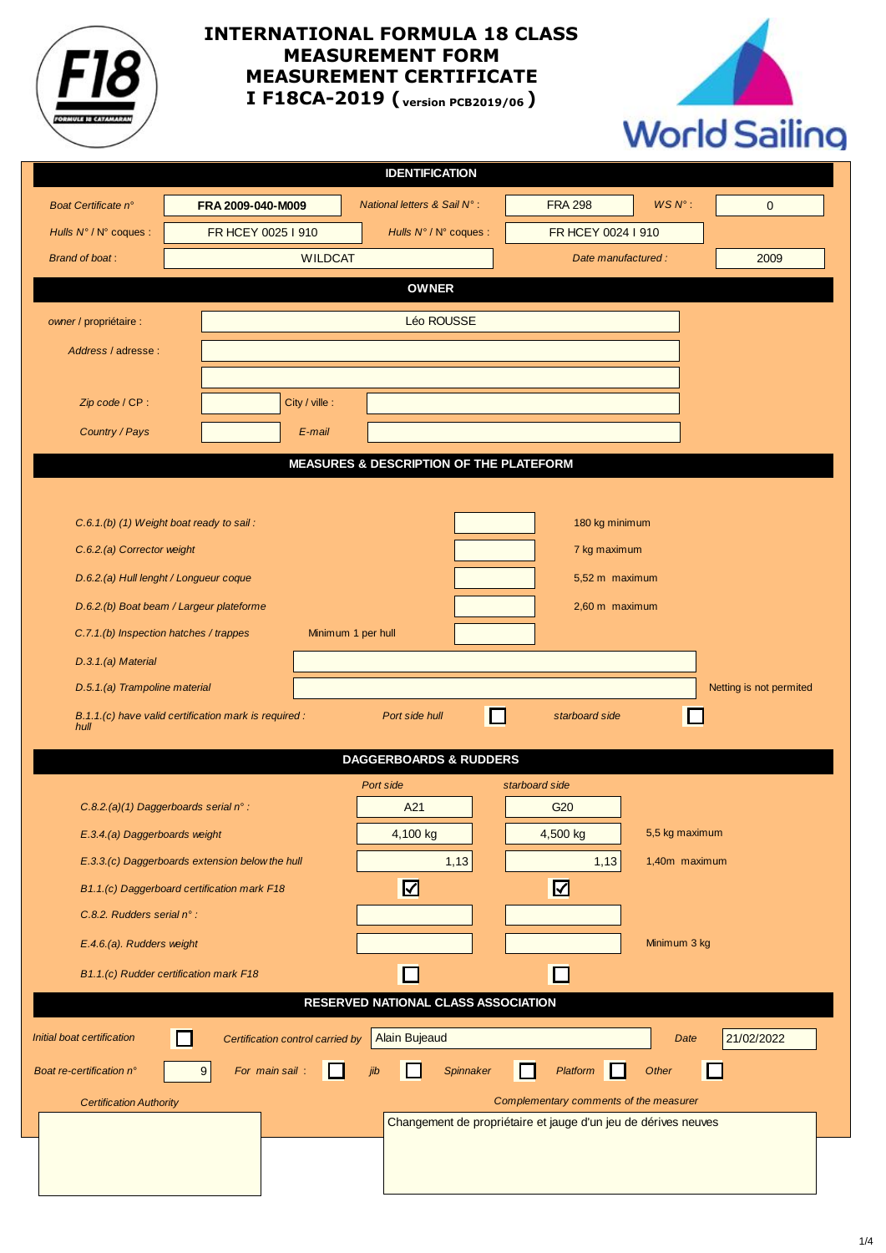

## **INTERNATIONAL FORMULA 18 CLASS MEASUREMENT FORM MEASUREMENT CERTIFICATE I F18CA-2019 ( version PCB2019/06 )**



|                                                                                          |                                                       |                                  | <b>IDENTIFICATION</b>                   |                |                                                                |                     |                         |  |
|------------------------------------------------------------------------------------------|-------------------------------------------------------|----------------------------------|-----------------------------------------|----------------|----------------------------------------------------------------|---------------------|-------------------------|--|
| Boat Certificate n°                                                                      | FRA 2009-040-M009                                     |                                  | National letters & Sail N°:             |                | <b>FRA 298</b>                                                 | $WSN^{\circ}$ :     | $\mathbf{0}$            |  |
| Hulls N°/N° coques :                                                                     | FR HCEY 0025 I 910                                    |                                  | Hulls N° / N° coques :                  |                | FR HCEY 0024 I 910                                             |                     |                         |  |
| <b>Brand of boat:</b>                                                                    |                                                       | <b>WILDCAT</b>                   |                                         |                |                                                                | Date manufactured : | 2009                    |  |
|                                                                                          |                                                       |                                  | <b>OWNER</b>                            |                |                                                                |                     |                         |  |
| owner / propriétaire :                                                                   |                                                       |                                  | Léo ROUSSE                              |                |                                                                |                     |                         |  |
| Address / adresse :                                                                      |                                                       |                                  |                                         |                |                                                                |                     |                         |  |
|                                                                                          |                                                       |                                  |                                         |                |                                                                |                     |                         |  |
| Zip code / CP:                                                                           |                                                       | City / ville :                   |                                         |                |                                                                |                     |                         |  |
| Country / Pays                                                                           |                                                       | E-mail                           |                                         |                |                                                                |                     |                         |  |
|                                                                                          |                                                       |                                  | MEASURES & DESCRIPTION OF THE PLATEFORM |                |                                                                |                     |                         |  |
|                                                                                          |                                                       |                                  |                                         |                |                                                                |                     |                         |  |
|                                                                                          | C.6.1.(b) (1) Weight boat ready to sail:              |                                  |                                         |                | 180 kg minimum                                                 |                     |                         |  |
| C.6.2.(a) Corrector weight                                                               |                                                       |                                  | 7 kg maximum                            |                |                                                                |                     |                         |  |
|                                                                                          | D.6.2.(a) Hull lenght / Longueur coque                |                                  |                                         |                | 5,52 m maximum                                                 |                     |                         |  |
|                                                                                          | D.6.2.(b) Boat beam / Largeur plateforme              |                                  |                                         | 2,60 m maximum |                                                                |                     |                         |  |
| C.7.1.(b) Inspection hatches / trappes<br>Minimum 1 per hull                             |                                                       |                                  |                                         |                |                                                                |                     |                         |  |
| D.3.1.(a) Material                                                                       |                                                       |                                  |                                         |                |                                                                |                     |                         |  |
| D.5.1.(a) Trampoline material                                                            |                                                       |                                  |                                         |                |                                                                |                     | Netting is not permited |  |
| hull                                                                                     | B.1.1.(c) have valid certification mark is required : |                                  | Port side hull                          | $\Box$         | starboard side                                                 |                     |                         |  |
|                                                                                          |                                                       |                                  | <b>DAGGERBOARDS &amp; RUDDERS</b>       |                |                                                                |                     |                         |  |
|                                                                                          |                                                       |                                  | Port side                               |                | starboard side                                                 |                     |                         |  |
|                                                                                          | $C.8.2. (a)(1)$ Daggerboards serial n°:               |                                  | A21                                     |                | G <sub>20</sub>                                                |                     |                         |  |
|                                                                                          | E.3.4.(a) Daggerboards weight                         |                                  |                                         |                | 4,500 kg                                                       | 5,5 kg maximum      |                         |  |
|                                                                                          | E.3.3.(c) Daggerboards extension below the hull       |                                  | 1,13                                    |                | 1,13<br>1,40m maximum                                          |                     |                         |  |
|                                                                                          | B1.1.(c) Daggerboard certification mark F18           |                                  |                                         |                | $\boldsymbol{\mathsf{Z}}$                                      |                     |                         |  |
| C.8.2. Rudders serial n°:                                                                |                                                       |                                  |                                         |                |                                                                |                     |                         |  |
| E.4.6.(a). Rudders weight                                                                |                                                       |                                  |                                         |                |                                                                | Minimum 3 kg        |                         |  |
|                                                                                          | B1.1.(c) Rudder certification mark F18                |                                  |                                         |                | ப                                                              |                     |                         |  |
| RESERVED NATIONAL CLASS ASSOCIATION                                                      |                                                       |                                  |                                         |                |                                                                |                     |                         |  |
| Initial boat certification                                                               |                                                       | Certification control carried by | <b>Alain Bujeaud</b>                    |                |                                                                | Date                | 21/02/2022              |  |
| For main sail:<br>Boat re-certification n°<br>9<br>Spinnaker<br>Platform<br>Other<br>jib |                                                       |                                  |                                         |                |                                                                |                     |                         |  |
| <b>Certification Authority</b>                                                           |                                                       |                                  |                                         |                | Complementary comments of the measurer                         |                     |                         |  |
|                                                                                          |                                                       |                                  |                                         |                | Changement de propriétaire et jauge d'un jeu de dérives neuves |                     |                         |  |
|                                                                                          |                                                       |                                  |                                         |                |                                                                |                     |                         |  |
|                                                                                          |                                                       |                                  |                                         |                |                                                                |                     |                         |  |
|                                                                                          |                                                       |                                  |                                         |                |                                                                |                     |                         |  |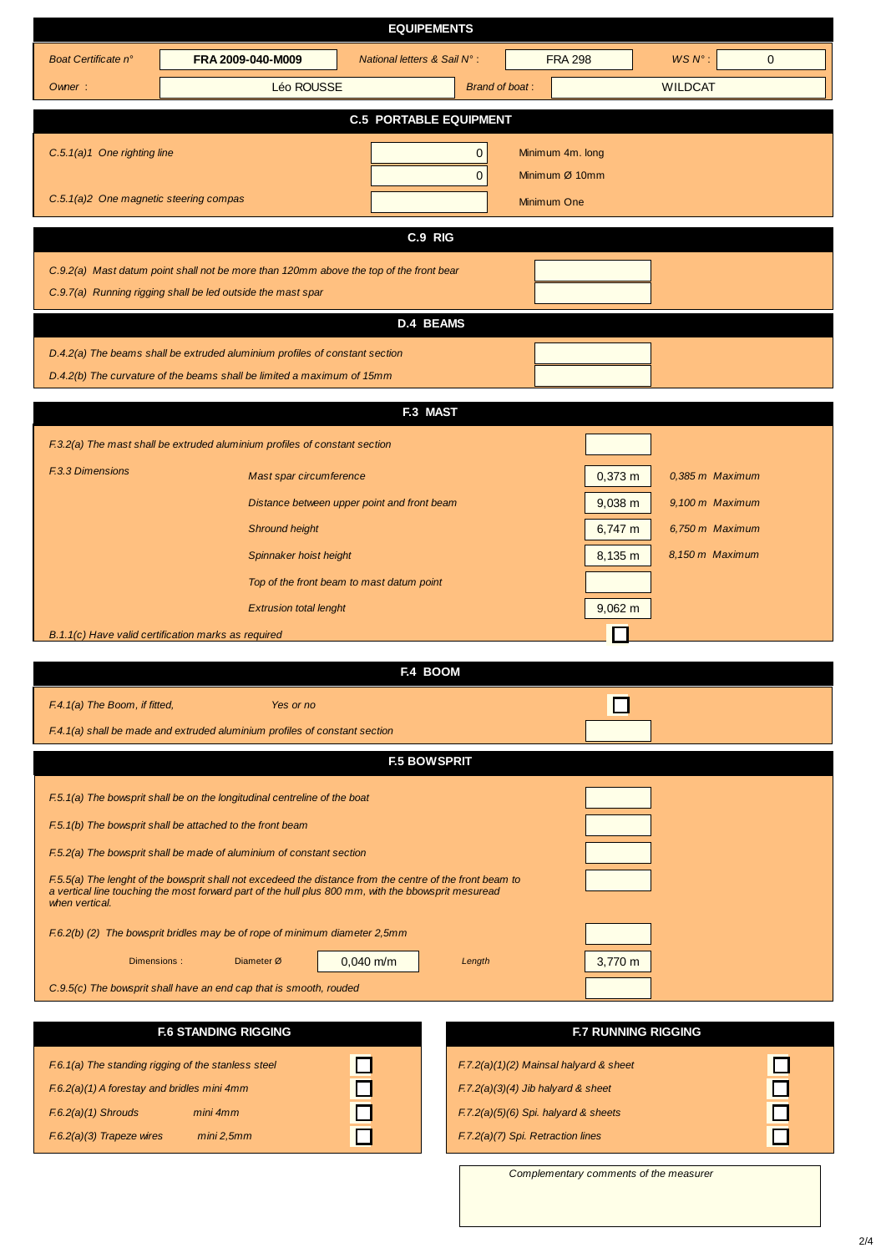| <b>EQUIPEMENTS</b>                                                                                       |                                                                                                     |                                             |                       |                  |                            |                 |              |
|----------------------------------------------------------------------------------------------------------|-----------------------------------------------------------------------------------------------------|---------------------------------------------|-----------------------|------------------|----------------------------|-----------------|--------------|
| Boat Certificate n°                                                                                      | FRA 2009-040-M009                                                                                   | National letters & Sail N°:                 |                       | <b>FRA 298</b>   |                            | $WSN^{\circ}$ : | $\mathbf{0}$ |
| Owner:                                                                                                   | Léo ROUSSE                                                                                          |                                             | <b>Brand of boat:</b> |                  |                            | <b>WILDCAT</b>  |              |
|                                                                                                          |                                                                                                     | <b>C.5 PORTABLE EQUIPMENT</b>               |                       |                  |                            |                 |              |
| $C.5.1(a)1$ One righting line                                                                            |                                                                                                     |                                             | 0                     | Minimum 4m. long |                            |                 |              |
|                                                                                                          |                                                                                                     |                                             | $\overline{0}$        | Minimum Ø 10mm   |                            |                 |              |
| C.5.1(a)2 One magnetic steering compas                                                                   |                                                                                                     |                                             |                       | Minimum One      |                            |                 |              |
|                                                                                                          |                                                                                                     |                                             |                       |                  |                            |                 |              |
|                                                                                                          |                                                                                                     | C.9 RIG                                     |                       |                  |                            |                 |              |
|                                                                                                          | C.9.2(a) Mast datum point shall not be more than 120mm above the top of the front bear              |                                             |                       |                  |                            |                 |              |
|                                                                                                          | C.9.7(a) Running rigging shall be led outside the mast spar                                         |                                             |                       |                  |                            |                 |              |
|                                                                                                          |                                                                                                     | <b>D.4 BEAMS</b>                            |                       |                  |                            |                 |              |
|                                                                                                          | D.4.2(a) The beams shall be extruded aluminium profiles of constant section                         |                                             |                       |                  |                            |                 |              |
|                                                                                                          | D.4.2(b) The curvature of the beams shall be limited a maximum of 15mm                              |                                             |                       |                  |                            |                 |              |
|                                                                                                          |                                                                                                     | F.3 MAST                                    |                       |                  |                            |                 |              |
|                                                                                                          | F.3.2(a) The mast shall be extruded aluminium profiles of constant section                          |                                             |                       |                  |                            |                 |              |
| <b>F.3.3 Dimensions</b>                                                                                  | Mast spar circumference                                                                             |                                             |                       |                  | $0,373 \; m$               | 0,385 m Maximum |              |
|                                                                                                          |                                                                                                     | Distance between upper point and front beam |                       |                  | $9,038$ m                  | 9,100 m Maximum |              |
|                                                                                                          | <b>Shround height</b>                                                                               |                                             |                       |                  | $6,747 \; m$               | 6,750 m Maximum |              |
|                                                                                                          | Spinnaker hoist height                                                                              |                                             |                       |                  | 8,135 m                    | 8,150 m Maximum |              |
|                                                                                                          | Top of the front beam to mast datum point                                                           |                                             |                       |                  |                            |                 |              |
|                                                                                                          | <b>Extrusion total lenght</b>                                                                       |                                             |                       |                  | $9,062 \text{ m}$          |                 |              |
|                                                                                                          | B.1.1(c) Have valid certification marks as required                                                 |                                             |                       |                  |                            |                 |              |
|                                                                                                          |                                                                                                     |                                             |                       |                  |                            |                 |              |
|                                                                                                          |                                                                                                     | F.4 BOOM                                    |                       |                  |                            |                 |              |
| F.4.1(a) The Boom, if fitted,                                                                            | Yes or no                                                                                           |                                             |                       |                  |                            |                 |              |
|                                                                                                          | F.4.1(a) shall be made and extruded aluminium profiles of constant section                          |                                             |                       |                  |                            |                 |              |
|                                                                                                          |                                                                                                     | <b>F.5 BOWSPRIT</b>                         |                       |                  |                            |                 |              |
|                                                                                                          | F.5.1(a) The bowsprit shall be on the longitudinal centreline of the boat                           |                                             |                       |                  |                            |                 |              |
|                                                                                                          | F.5.1(b) The bowsprit shall be attached to the front beam                                           |                                             |                       |                  |                            |                 |              |
| F.5.2(a) The bowsprit shall be made of aluminium of constant section                                     |                                                                                                     |                                             |                       |                  |                            |                 |              |
| F.5.5(a) The lenght of the bowsprit shall not excedeed the distance from the centre of the front beam to |                                                                                                     |                                             |                       |                  |                            |                 |              |
| when vertical.                                                                                           | a vertical line touching the most forward part of the hull plus 800 mm, with the bbowsprit mesuread |                                             |                       |                  |                            |                 |              |
|                                                                                                          | F.6.2(b) (2) The bowsprit bridles may be of rope of minimum diameter 2,5mm                          |                                             |                       |                  |                            |                 |              |
|                                                                                                          | Dimensions:<br>Diameter Ø                                                                           | $0,040$ m/m                                 | Length                |                  | 3,770 m                    |                 |              |
|                                                                                                          | C.9.5(c) The bowsprit shall have an end cap that is smooth, rouded                                  |                                             |                       |                  |                            |                 |              |
|                                                                                                          |                                                                                                     |                                             |                       |                  |                            |                 |              |
|                                                                                                          | <b>F.6 STANDING RIGGING</b>                                                                         |                                             |                       |                  | <b>F.7 RUNNING RIGGING</b> |                 |              |

F.6.1(a) The standing rigging of the stanless steel F.6.2(a)(1) A forestay and bridles mini 4mm F.6.2(a)(1) Shrouds mini 4mm F.6.2(a)(3) Trapeze wires mini 2,5mm

|  | $F.7.2(a)(1)(2)$ Mainsal halyard & sheet |  |
|--|------------------------------------------|--|
|  | $F.7.2(a)(3)(4)$ Jib halyard & sheet     |  |
|  | $F.7.2(a)(5)(6)$ Spi. halyard & sheets   |  |
|  | F.7.2(a)(7) Spi. Retraction lines        |  |

Complementary comments of the measurer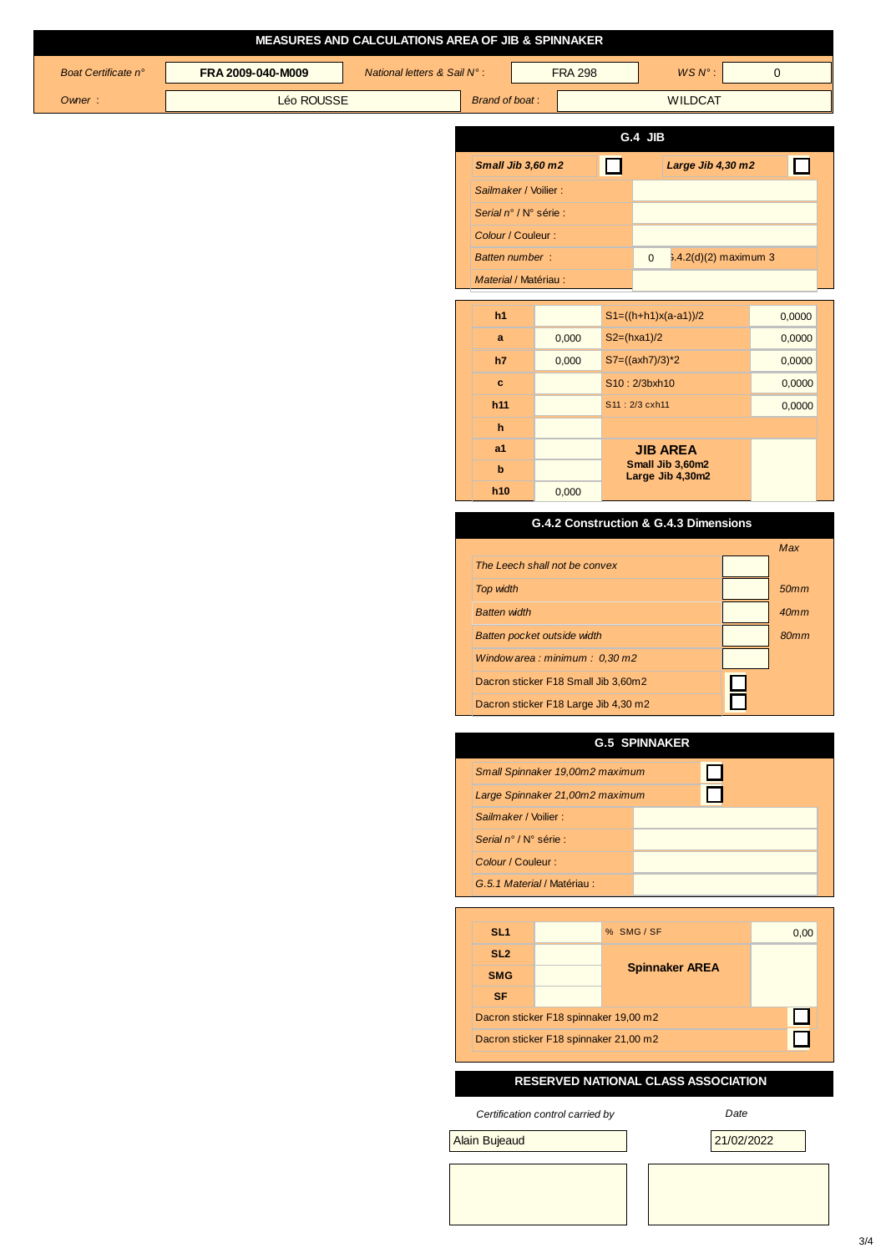| MEASURES AND CALCULATIONS AREA OF JIB & SPINNAKER |                   |                             |                                                             |                |                                       |                         |  |
|---------------------------------------------------|-------------------|-----------------------------|-------------------------------------------------------------|----------------|---------------------------------------|-------------------------|--|
| Boat Certificate n°                               | FRA 2009-040-M009 | National letters & Sail N°: |                                                             | <b>FRA 298</b> | $WSN^{\circ}$ :                       | $\mathbf{0}$            |  |
| Owner:                                            | Léo ROUSSE        |                             | <b>Brand of boat:</b>                                       |                | <b>WILDCAT</b>                        |                         |  |
|                                                   |                   |                             |                                                             |                |                                       |                         |  |
|                                                   |                   |                             |                                                             |                | G.4 JIB                               |                         |  |
|                                                   |                   |                             | Small Jib 3,60 m2                                           |                | Large Jib 4,30 m2<br>$\mathbf{I}$     | H                       |  |
|                                                   |                   |                             | Sailmaker / Voilier :                                       |                |                                       |                         |  |
|                                                   |                   |                             | Serial n° / N° série :                                      |                |                                       |                         |  |
|                                                   |                   |                             | Colour / Couleur :                                          |                |                                       |                         |  |
|                                                   |                   |                             | <b>Batten number:</b>                                       |                | $\overline{0}$                        | $3.4.2(d)(2)$ maximum 3 |  |
|                                                   |                   |                             | Material / Matériau :                                       |                |                                       |                         |  |
|                                                   |                   |                             | h1                                                          |                | $S1=((h+h1)x(a-a1))/2$                | 0,0000                  |  |
|                                                   |                   |                             | a                                                           | 0,000          | $S2=(hxa1)/2$                         | 0,0000                  |  |
|                                                   |                   |                             | h7                                                          | 0,000          | $S7 = ((axh7)/3)^*2$                  | 0,0000                  |  |
|                                                   |                   |                             | $\mathbf{c}$                                                |                | S10:2/3bxh10                          | 0,0000                  |  |
|                                                   |                   |                             | h11                                                         |                | S11: 2/3 cxh11                        | 0,0000                  |  |
|                                                   |                   |                             | h                                                           |                |                                       |                         |  |
|                                                   |                   |                             | a1                                                          |                | <b>JIB AREA</b><br>Small Jib 3,60m2   |                         |  |
|                                                   |                   |                             | b                                                           |                | Large Jib 4,30m2                      |                         |  |
|                                                   |                   |                             | h10                                                         | 0,000          |                                       |                         |  |
|                                                   |                   |                             |                                                             |                | G.4.2 Construction & G.4.3 Dimensions |                         |  |
|                                                   |                   |                             |                                                             |                |                                       | Max                     |  |
|                                                   |                   |                             | The Leech shall not be convex                               |                |                                       |                         |  |
|                                                   |                   |                             | Top width                                                   |                |                                       | 50mm                    |  |
|                                                   |                   |                             | <b>Batten width</b>                                         |                |                                       | 40mm                    |  |
|                                                   |                   |                             | Batten pocket outside width<br>Windowarea: minimum: 0,30 m2 |                |                                       | 80mm                    |  |
|                                                   |                   |                             | Dacron sticker F18 Small Jib 3,60m2                         |                |                                       |                         |  |
|                                                   |                   |                             | Dacron sticker F18 Large Jib 4,30 m2                        |                |                                       |                         |  |
|                                                   |                   |                             |                                                             |                |                                       |                         |  |
|                                                   |                   |                             |                                                             |                | <b>G.5 SPINNAKER</b>                  |                         |  |
| Small Spinnaker 19,00m2 maximum                   |                   |                             |                                                             |                |                                       |                         |  |
|                                                   |                   |                             | Large Spinnaker 21,00m2 maximum                             |                |                                       |                         |  |
|                                                   |                   |                             | Sailmaker / Voilier :                                       |                |                                       |                         |  |
|                                                   |                   |                             | Serial n° / N° série :                                      |                |                                       |                         |  |
|                                                   |                   |                             | Colour / Couleur :                                          |                |                                       |                         |  |
|                                                   |                   |                             | G.5.1 Material / Matériau:                                  |                |                                       |                         |  |
|                                                   |                   |                             |                                                             |                |                                       |                         |  |
|                                                   |                   |                             | SL <sub>1</sub>                                             |                | % SMG / SF                            | 0,00                    |  |
|                                                   |                   |                             | SL <sub>2</sub>                                             |                | <b>Spinnaker AREA</b>                 |                         |  |
|                                                   |                   |                             | <b>SMG</b>                                                  |                |                                       |                         |  |
|                                                   |                   |                             | <b>SF</b><br>Dacron sticker F18 spinnaker 19,00 m2          |                |                                       |                         |  |
|                                                   |                   |                             | Dacron sticker F18 spinnaker 21,00 m2                       |                |                                       |                         |  |
|                                                   |                   |                             |                                                             |                |                                       |                         |  |
|                                                   |                   |                             |                                                             |                | RESERVED NATIONAL CLASS ASSOCIATION   |                         |  |
|                                                   |                   |                             | Certification control carried by                            |                |                                       | Date                    |  |
|                                                   |                   |                             | <b>Alain Bujeaud</b>                                        |                |                                       | 21/02/2022              |  |
|                                                   |                   |                             |                                                             |                |                                       |                         |  |